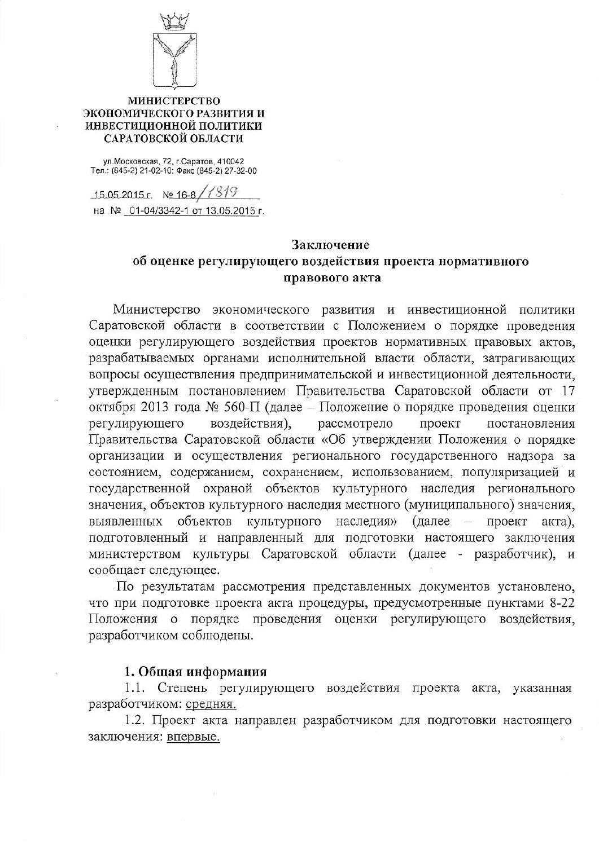

## **МИНИСТЕРСТВО** ЭКОНОМИЧЕСКОГО РАЗВИТИЯ И ИНВЕСТИЦИОННОЙ ПОЛИТИКИ САРАТОВСКОЙ ОБЛАСТИ

ул. Московская, 72, г. Саратов, 410042<br>Тел.: (845-2) 21-02-10; Факс (845-2) 27-32-00

15.05.2015 r. No 16-8 / (819) на № 01-04/3342-1 от 13.05.2015 г.

## Заключение

## об оценке регулирующего воздействия проекта нормативного правового акта

Министерство экономического развития и инвестиционной политики Саратовской области в соответствии с Положением о порядке проведения оценки регулирующего воздействия проектов нормативных правовых актов, разрабатываемых органами исполнительной власти области, затрагивающих вопросы осуществления предпринимательской и инвестиционной деятельности, утвержденным постановлением Правительства Саратовской области от 17 октября 2013 года № 560-П (далее – Положение о порядке проведения оценки регулирующего воздействия), рассмотрело проект постановления Правительства Саратовской области «Об утверждении Положения о порядке организации и осуществления регионального государственного надзора за состоянием, содержанием, сохранением, использованием, популяризацией и государственной охраной объектов культурного наследия регионального значения, объектов культурного наследия местного (муниципального) значения, объектов культурного  $(a)$ далее выявленных наследия» проект акта), подготовленный и направленный для подготовки настоящего заключения министерством культуры Саратовской области (далее - разработчик), и сообщает следующее.

По результатам рассмотрения представленных документов установлено, что при подготовке проекта акта процедуры, предусмотренные пунктами 8-22 Положения о порядке проведения оценки регулирующего воздействия, разработчиком соблюдены.

## 1. Общая информация

1.1. Степень регулирующего воздействия проекта акта, указанная разработчиком: средняя.

1.2. Проект акта направлен разработчиком для подготовки настоящего заключения: впервые.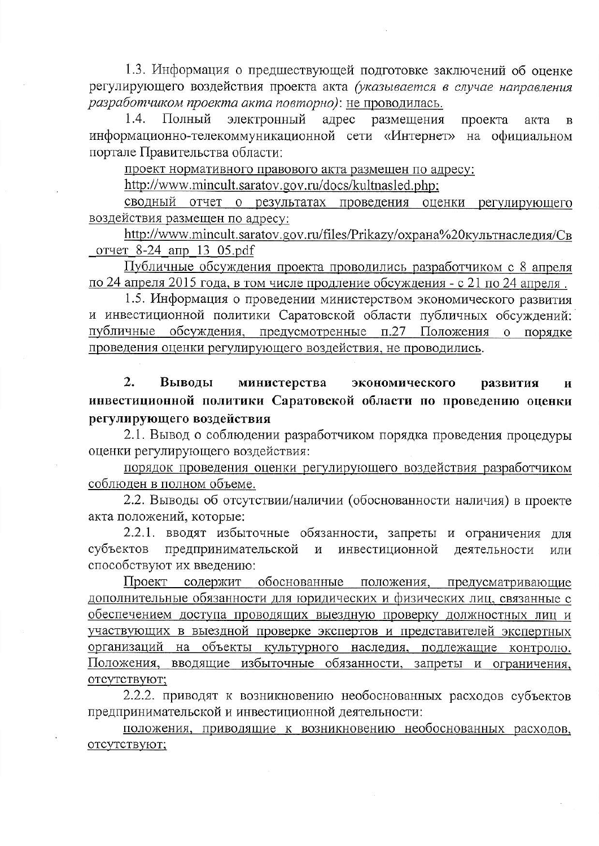1.3. Информация о предшествующей подготовке заключений об оценке регулирующего воздействия проекта акта (указывается в случае направления разработчиком проекта акта повторно): не проводилась.

электронный  $1.4.$ Полный адрес размещения проекта акта  $\bf{B}$ информационно-телекоммуникационной сети «Интернет» на официальном портале Правительства области:

проект нормативного правового акта размещен по адресу:

http://www.mincult.saratov.gov.ru/docs/kultnasled.php;

сводный отчет о результатах проведения оценки регулирующего воздействия размещен по адресу:

http://www.mincult.saratov.gov.ru/files/Prikazy/охрана%20культнаследия/Св отчет 8-24 апр 13 05.pdf

Публичные обсуждения проекта проводились разработчиком с 8 апреля по 24 апреля 2015 года, в том числе продление обсуждения - с 21 по 24 апреля.

1.5. Информация о проведении министерством экономического развития и инвестиционной политики Саратовской области публичных обсуждений: публичные обсуждения, предусмотренные п.27 Положения о порядке проведения оценки регулирующего воздействия, не проводились.

 $\overline{2}$ . Выводы министерства экономического развития И инвестиционной политики Саратовской области по проведению оценки регулирующего воздействия

2.1. Вывод о соблюдении разработчиком порядка проведения процедуры оценки регулирующего воздействия:

порядок проведения оценки регулирующего воздействия разработчиком соблюден в полном объеме.

2.2. Выводы об отсутствии/наличии (обоснованности наличия) в проекте акта положений, которые:

2.2.1. вводят избыточные обязанности, запреты и ограничения для предпринимательской и инвестиционной субъектов деятельности ИЛИ способствуют их введению:

Проект содержит обоснованные положения, предусматривающие дополнительные обязанности для юридических и физических лиц, связанные с обеспечением доступа проводящих выездную проверку должностных лиц и участвующих в выездной проверке экспертов и представителей экспертных организаций на объекты культурного наследия, подлежащие контролю. Положения, вводящие избыточные обязанности, запреты и ограничения, отсутствуют;

2.2.2. приводят к возникновению необоснованных расходов субъектов предпринимательской и инвестиционной деятельности:

положения, приводящие к возникновению необоснованных расходов, отсутствуют;